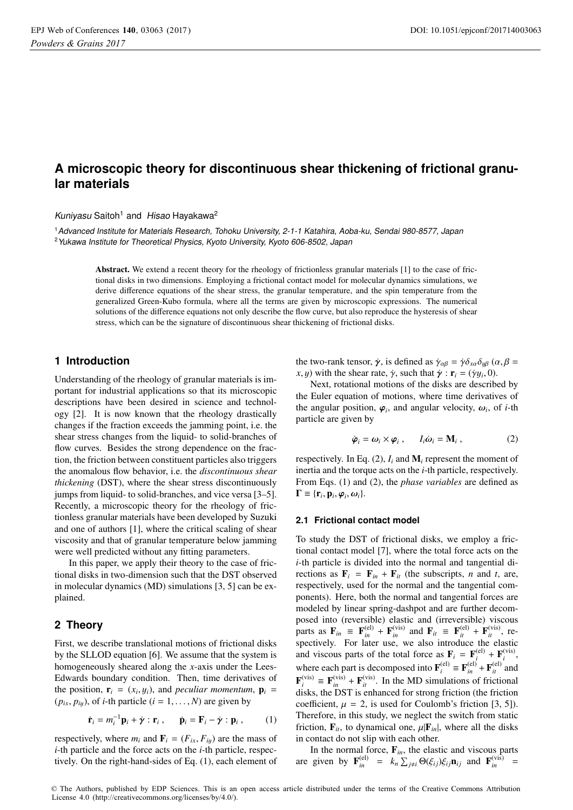# **A microscopic theory for discontinuous shear thickening of frictional granular materials**

Kuniyasu Saitoh<sup>1</sup> and Hisao Hayakawa<sup>2</sup>

<sup>1</sup>Advanced Institute for Materials Research, Tohoku University, 2-1-1 Katahira, Aoba-ku, Sendai 980-8577, Japan <sup>2</sup> Yukawa Institute for Theoretical Physics, Kyoto University, Kyoto 606-8502, Japan

> Abstract. We extend a recent theory for the rheology of frictionless granular materials [1] to the case of frictional disks in two dimensions. Employing a frictional contact model for molecular dynamics simulations, we derive difference equations of the shear stress, the granular temperature, and the spin temperature from the generalized Green-Kubo formula, where all the terms are given by microscopic expressions. The numerical solutions of the difference equations not only describe the flow curve, but also reproduce the hysteresis of shear stress, which can be the signature of discontinuous shear thickening of frictional disks.

# **1 Introduction**

Understanding of the rheology of granular materials is important for industrial applications so that its microscopic descriptions have been desired in science and technology [2]. It is now known that the rheology drastically changes if the fraction exceeds the jamming point, i.e. the shear stress changes from the liquid- to solid-branches of flow curves. Besides the strong dependence on the fraction, the friction between constituent particles also triggers the anomalous flow behavior, i.e. the *discontinuous shear thickening* (DST), where the shear stress discontinuously jumps from liquid- to solid-branches, and vice versa [3–5]. Recently, a microscopic theory for the rheology of frictionless granular materials have been developed by Suzuki and one of authors [1], where the critical scaling of shear viscosity and that of granular temperature below jamming were well predicted without any fitting parameters.

In this paper, we apply their theory to the case of frictional disks in two-dimension such that the DST observed in molecular dynamics (MD) simulations [3, 5] can be explained.

# **2 Theory**

First, we describe translational motions of frictional disks by the SLLOD equation [6]. We assume that the system is homogeneously sheared along the *x*-axis under the Lees-Edwards boundary condition. Then, time derivatives of the position,  $\mathbf{r}_i = (x_i, y_i)$ , and *peculiar momentum*,  $\mathbf{p}_i =$  $(p_{ix}, p_{iy})$ , of *i*-th particle  $(i = 1, ..., N)$  are given by

$$
\dot{\mathbf{r}}_i = m_i^{-1} \mathbf{p}_i + \dot{\gamma} : \mathbf{r}_i , \qquad \dot{\mathbf{p}}_i = \mathbf{F}_i - \dot{\gamma} : \mathbf{p}_i , \qquad (1)
$$

respectively, where  $m_i$  and  $\mathbf{F}_i = (F_{ix}, F_{iy})$  are the mass of *i*-th particle and the force acts on the *i*-th particle, respectively. On the right-hand-sides of Eq. (1), each element of the two-rank tensor,  $\dot{\gamma}$ , is defined as  $\dot{\gamma}_{\alpha\beta} = \dot{\gamma} \delta_{x\alpha} \delta_{y\beta}$  ( $\alpha, \beta$  = *x*, *y*) with the shear rate,  $\dot{\gamma}$ , such that  $\dot{\gamma}$  :  $\mathbf{r}_i = (\dot{\gamma}y_i, 0)$ .

Next, rotational motions of the disks are described by the Euler equation of motions, where time derivatives of the angular position,  $\varphi_i$ , and angular velocity,  $\omega_i$ , of *i*-th particle are given by

$$
\dot{\boldsymbol{\varphi}}_i = \boldsymbol{\omega}_i \times \boldsymbol{\varphi}_i \,, \qquad I_i \dot{\boldsymbol{\omega}}_i = \mathbf{M}_i \,, \tag{2}
$$

respectively. In Eq.  $(2)$ ,  $I_i$  and  $M_i$  represent the moment of inertia and the torque acts on the *i*-th particle, respectively. From Eqs. (1) and (2), the *phase variables* are defined as  $\Gamma \equiv \{r_i, p_i, \varphi_i, \omega_i\}.$ 

#### **2.1 Frictional contact model**

To study the DST of frictional disks, we employ a frictional contact model [7], where the total force acts on the *i*-th particle is divided into the normal and tangential directions as  $\mathbf{F}_i = \mathbf{F}_{in} + \mathbf{F}_{it}$  (the subscripts, *n* and *t*, are, respectively, used for the normal and the tangential components). Here, both the normal and tangential forces are modeled by linear spring-dashpot and are further decomposed into (reversible) elastic and (irreversible) viscous parts as  $\mathbf{F}_{in} \equiv \mathbf{F}_{in}^{(el)} + \mathbf{F}_{in}^{(vis)}$  and  $\mathbf{F}_{it} \equiv \mathbf{F}_{it}^{(el)} + \mathbf{F}_{it}^{(vis)}$ , respectively. For later use, we also introduce the elastic and viscous parts of the total force as  $\mathbf{F}_i = \mathbf{F}_i^{(\text{el})} + \mathbf{F}_i^{(\text{vis})}$ where each part is decomposed into  $\mathbf{F}_i^{(el)} = \mathbf{F}_{in}^{(el)} + \mathbf{F}_{in}^{(el)}$  and  $\mathbf{F}_{in}^{(vis)} = \mathbf{F}_{in}^{(vis)} + \mathbf{F}_{in}^{(vis)}$ .  $\mathbf{F}_{i}^{(vis)} \equiv \mathbf{F}_{in}^{(vis)} + \mathbf{F}_{i}^{(vis)}$ . In the MD simulations of frictional disks the DST is enhanced for strong friction (the friction disks, the DST is enhanced for strong friction (the friction coefficient,  $\mu = 2$ , is used for Coulomb's friction [3, 5]). Therefore, in this study, we neglect the switch from static friction,  $\mathbf{F}_{it}$ , to dynamical one,  $\mu|\mathbf{F}_{in}|$ , where all the disks in contact do not slip with each other.

In the normal force,  $\mathbf{F}_{in}$ , the elastic and viscous parts<br>given by  $\mathbf{F}^{(\text{el})} = k \sum \mathbf{\Theta}(\mathcal{E}_{i}, \mathbf{\Theta}_{i}, \mathbf{n}_{i})$  and  $\mathbf{F}^{(\text{vis})} =$ are given by  $\mathbf{F}_{in}^{(\text{el})} = k_n \sum_{j \neq i} \Theta(\xi_{ij}) \xi_{ij} \mathbf{n}_{ij}$  and  $\mathbf{F}_{in}^{(\text{vis})} =$ 

© The Authors, published by EDP Sciences. This is an open access article distributed under the terms of the Creative Commons Attribution License 4.0 (http://creativecommons.org/licenses/by/4.0/).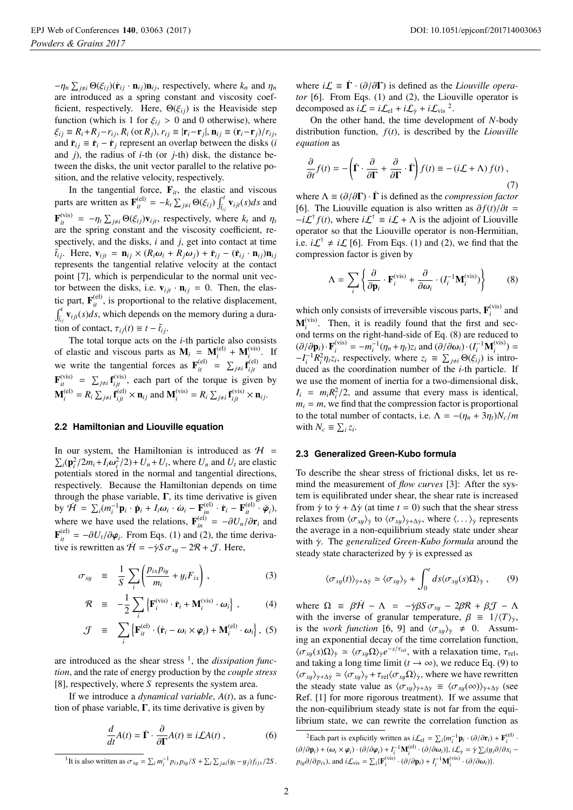$-\eta_n \sum_{j \neq i} \Theta(\xi_{ij})(\dot{\mathbf{r}}_{ij} \cdot \mathbf{n}_{ij}) \mathbf{n}_{ij}$ , respectively, where  $k_n$  and  $\eta_n$ <br>are introduced as a spring constant and viscosity coefare introduced as a spring constant and viscosity coefficient, respectively. Here,  $\Theta(\xi_{ij})$  is the Heaviside step function (which is 1 for  $\xi_{ij} > 0$  and 0 otherwise), where  $\xi_{ij} \equiv R_i + R_j - r_{ij}, R_i$  (or  $R_j$ ),  $r_{ij} \equiv |\mathbf{r}_i - \mathbf{r}_j|$ ,  $\mathbf{n}_{ij} \equiv (\mathbf{r}_i - \mathbf{r}_j)/r_{ij}$ , and  $\dot{\mathbf{r}}_{ij} \equiv \dot{\mathbf{r}}_i - \dot{\mathbf{r}}_j$  represent an overlap between the disks (*i* and *j*), the radius of *i*-th (or *j*-th) disk, the distance between the disks, the unit vector parallel to the relative position, and the relative velocity, respectively.

In the tangential force,  $\mathbf{F}_{it}$ , the elastic and viscous<br>s are written as  $\mathbf{F}^{(\text{el})} = k \sum_{i} \mathbf{Q}(\xi) \int_{i}^{t} \mathbf{y}_{\text{el}}(\xi) d\xi$  and parts are written as  $\mathbf{F}_{it}^{(\text{el})} = -k_t \sum_{j \neq i} \Theta(\xi_{ij}) \int_{\tilde{t}_{ij}}^t \mathbf{v}_{ijt}(s) ds$  and  $\mathbf{F}_{it}^{(vis)} = -\eta_t \sum_{j \neq i} \Theta(\xi_{ij}) \mathbf{v}_{ijt}$ , respectively, where  $k_t$  and  $\eta_t$ are the spring constant and the viscosity coefficient, respectively, and the disks, *i* and *j*, get into contact at time  $\tilde{t}_{ij}$ . Here,  $\mathbf{v}_{ijt} = \mathbf{n}_{ij} \times (R_i \omega_i + R_j \omega_j) + \dot{\mathbf{r}}_{ij} - (\dot{\mathbf{r}}_{ij} \cdot \mathbf{n}_{ij}) \mathbf{n}_{ij}$ <br>represents the tangential relative velocity at the contact represents the tangential relative velocity at the contact point [7], which is perpendicular to the normal unit vector between the disks, i.e.  $v_{ijt} \cdot \mathbf{n}_{ij} = 0$ . Then, the elastic part,  $\mathbf{F}_{it}^{(el)}$ , is proportional to the relative displacement,  $\int_{t_{ij}}^{t} \mathbf{v}_{ijt}(s)ds$ , which depends on the memory during a duration of contact,  $\tau_{ij}(t) \equiv t - \tilde{t}_{ij}$ .

The total torque acts on the *i*-th particle also consists of elastic and viscous parts as  $M_i = M_i^{(el)} + M_i^{(vis)}$ . If we write the tangential forces as  $\mathbf{F}_{it}^{(\text{el})} = \sum_{j \neq i} \mathbf{f}_{ijt}^{(\text{el})}$  and  $\mathbf{F}_{ijt}^{(\text{vis})}$  $\frac{i}{i}$  $\mathbf{F}_{ii}^{(vis)} = \sum_{j \neq i} \mathbf{f}_{ij}^{(vis)}$ , each part of the torque is given by  $\mathbf{M}_i^{(\text{el})} = R_i \sum_{j \neq i} \mathbf{f}_{ijt}^{(\text{el})} \times \mathbf{n}_{ij}$  and  $\mathbf{M}_i^{(\text{vis})} = R_i \sum_{j \neq i} \mathbf{f}_{ijt}^{(\text{vis})} \times \mathbf{n}_{ij}$ .

#### **2.2 Hamiltonian and Liouville equation**

In our system, the Hamiltonian is introduced as  $H =$  $\sum_i (\mathbf{p}_i^2/2m_i+\mathbf{I}_i\omega_i^2/2)+U_n+U_t$ , where  $U_n$  and  $U_t$  are elastic<br>potentials stored in the normal and tangential directions potentials stored in the normal and tangential directions, respectively. Because the Hamiltonian depends on time through the phase variable,  $\Gamma$ , its time derivative is given by  $\dot{H} = \sum_i (m_i^{-1} \mathbf{p}_i \cdot \dot{\mathbf{p}}_i + I_i \omega_i \cdot \dot{\omega}_i - \mathbf{F}_{in}^{(\text{el})} \cdot \dot{\mathbf{r}}_i - \mathbf{F}_{in}^{(\text{el})} \cdot \dot{\varphi}_i$ , where we have used the relations,  $\mathbf{F}_{in}^{(el)} = -\partial U_n/\partial \mathbf{r}_i$  and  $\mathbf{F}_{in}^{(el)} = \mathbf{F}_{in}^{(el)}$  $\mathbf{F}_{it}^{(el)} = -\partial U_t / \partial \varphi_i$ . From Eqs. (1) and (2), the time deriva-<br>*tive* is rewritten as  $\mathcal{U} = -\partial S \pi - 2\mathcal{P} + \mathcal{T}$ . Here tive is rewritten as  $\dot{\mathcal{H}} = -\dot{\gamma} S \sigma_{xy} - 2\mathcal{R} + \mathcal{J}$ . Here,

$$
\sigma_{xy} \equiv \frac{1}{S} \sum_{i} \left( \frac{p_{ix} p_{iy}}{m_i} + y_i F_{ix} \right), \qquad (3)
$$

$$
\mathcal{R} \equiv -\frac{1}{2} \sum_{i} \left\{ \mathbf{F}_{i}^{(\text{vis})} \cdot \dot{\mathbf{r}}_{i} + \mathbf{M}_{i}^{(\text{vis})} \cdot \boldsymbol{\omega}_{i} \right\}, \quad (4)
$$

$$
\mathcal{J} = \sum_{i} \left\{ \mathbf{F}_{it}^{(\text{el})} \cdot (\dot{\mathbf{r}}_{i} - \boldsymbol{\omega}_{i} \times \boldsymbol{\varphi}_{i}) + \mathbf{M}_{i}^{(\text{el})} \cdot \boldsymbol{\omega}_{i} \right\}, (5)
$$

are introduced as the shear stress 1, the *dissipation function*, and the rate of energy production by the *couple stress* [8], respectively, where *S* represents the system area.

If we introduce a *dynamical variable*, *A*(*t*), as a function of phase variable,  $\Gamma$ , its time derivative is given by

$$
\frac{d}{dt}A(t) = \dot{\Gamma} \cdot \frac{\partial}{\partial \Gamma}A(t) \equiv i\mathcal{L}A(t) , \qquad (6)
$$

<sup>1</sup>It is also written as  $\sigma_{xy} = \sum_i m_i^{-1} p_{ix} p_{iy} / S + \sum_i \sum_{j \neq i} (y_i - y_j) f_{ijx} / 2S$ .

where  $i\mathcal{L} \equiv \mathbf{\Gamma} \cdot (\partial/\partial \mathbf{\Gamma})$  is defined as the *Liouville operator* [6]. From Eqs. (1) and (2), the Liouville operator is decomposed as  $i\mathcal{L} = i\mathcal{L}_{el} + i\mathcal{L}_{\gamma} + i\mathcal{L}_{vis}$ <sup>2</sup>.

On the other hand, the time development of *N*-body distribution function, *f*(*t*), is described by the *Liouville equation* as

$$
\frac{\partial}{\partial t}f(t) = -\left(\dot{\Gamma}\cdot\frac{\partial}{\partial \Gamma} + \frac{\partial}{\partial \Gamma}\cdot\dot{\Gamma}\right)f(t) \equiv -(i\mathcal{L} + \Lambda)f(t) ,\tag{7}
$$

where  $\Lambda \equiv (\partial/\partial \Gamma) \cdot \dot{\Gamma}$  is defined as the *compression factor* [6]. The Liouville equation is also written as  $\partial f(t)/\partial t =$  $-i\mathcal{L}^{\dagger}f(t)$ , where  $i\mathcal{L}^{\dagger} \equiv i\mathcal{L} + \Lambda$  is the adjoint of Liouville operator so that the Liouville operator is non-Hermitian, i.e.  $i\mathcal{L}^{\dagger} \neq i\mathcal{L}$  [6]. From Eqs. (1) and (2), we find that the compression factor is given by

$$
\Lambda = \sum_{i} \left\{ \frac{\partial}{\partial \mathbf{p}_{i}} \cdot \mathbf{F}_{i}^{(\text{vis})} + \frac{\partial}{\partial \omega_{i}} \cdot (I_{i}^{-1} \mathbf{M}_{i}^{(\text{vis})}) \right\}
$$
(8)

which only consists of irreversible viscous parts,  $\mathbf{F}_i^{(vis)}$  and  $\mathbf{M}^{(vis)}$  are it is readily found that the first and see  $M_i^{(vis)}$ . Then, it is readily found that the first and sec-<br>ond terms on the right-hand-side of Eq. (8) are reduced to ond terms on the right-hand-side of Eq. (8) are reduced to  $(\partial/\partial \mathbf{p}_i) \cdot \mathbf{F}_i^{(vis)} = -m_i^{-1}(\eta_n + \eta_t) z_i$  and  $(\partial/\partial \omega_i) \cdot (I_i^{-1} \mathbf{M}_i^{(vis)}) = -I^{-1} R^2 n z$ , respectively where  $z_i \equiv \sum_i \Theta(\xi_i)$  is intro- $-I_i^{-1}R_i^2\eta_t z_i$ , respectively, where  $z_i \equiv \sum_{j\neq i} \Theta(\xi_{ij})$  is introduced as the coordination number of the *i*-th particle. If we use the moment of inertia for a two-dimensional disk,  $I_i = m_i R_i^2 / 2$ , and assume that every mass is identical,  $m<sub>i</sub> = m$ , we find that the compression factor is proportional to the total number of contacts, i.e.  $\Lambda = -(\eta_n + 3\eta_t)N_c/m$ with  $N_c \equiv \sum_i z_i$ .

#### **2.3 Generalized Green-Kubo formula**

To describe the shear stress of frictional disks, let us remind the measurement of *flow curves* [3]: After the system is equilibrated under shear, the shear rate is increased from  $\dot{\gamma}$  to  $\dot{\gamma} + \Delta \dot{\gamma}$  (at time  $t = 0$ ) such that the shear stress relaxes from  $\langle \sigma_{xy} \rangle_{\dot{\gamma}}$  to  $\langle \sigma_{xy} \rangle_{\dot{\gamma} + \Delta \dot{\gamma}}$ , where  $\langle \dots \rangle_{\dot{\gamma}}$  represents the average in a non-equilibrium steady state under shear with *γ*. The *generalized Green-Kubo formula* around the steady state characterized by  $\dot{\gamma}$  is expressed as

$$
\langle \sigma_{xy}(t) \rangle_{\dot{\gamma} + \Delta \dot{\gamma}} \simeq \langle \sigma_{xy} \rangle_{\dot{\gamma}} + \int_0^t ds \langle \sigma_{xy}(s) \Omega \rangle_{\dot{\gamma}}, \qquad (9)
$$

where  $\Omega = \beta \hat{H} - \Lambda = -\dot{\gamma} \beta S \sigma_{xy} - 2\beta \hat{R} + \beta \hat{J} - \Lambda$ with the inverse of granular temperature,  $\beta = 1/\langle T \rangle_{\dot{v}},$ is the *work function* [6, 9] and  $\langle \sigma_{xy} \rangle_{\dot{\gamma}} \neq 0$ . Assuming an exponential decay of the time correlation function,  $\langle \sigma_{xy}(s) \Omega \rangle_{\dot{y}} \simeq \langle \sigma_{xy} \Omega \rangle_{\dot{y}} e^{-s/\tau_{rel}}$ , with a relaxation time,  $\tau_{rel}$ , and taking a long time limit ( $t \to \infty$ ), we reduce Eq. (9) to  $\langle \sigma_{xy} \rangle_{\dot{\gamma} + \Delta \dot{\gamma}} \simeq \langle \sigma_{xy} \rangle_{\dot{\gamma}} + \tau_{rel} \langle \sigma_{xy} \Omega \rangle_{\dot{\gamma}}$ , where we have rewritten the steady state value as  $\langle \sigma_{xy} \rangle_{\dot{\gamma} + \Delta \dot{\gamma}} \equiv \langle \sigma_{xy}(\infty) \rangle_{\dot{\gamma} + \Delta \dot{\gamma}}$  (see Ref. [1] for more rigorous treatment). If we assume that the non-equilibrium steady state is not far from the equilibrium state, we can rewrite the correlation function as

<sup>&</sup>lt;sup>2</sup>Each part is explicitly written as  $i\mathcal{L}_{el} = \sum_i \{m_i^{-1} \mathbf{p}_i \cdot (\partial/\partial \mathbf{r}_i) + \mathbf{F}_i^{(el)} \cdot \partial/\partial \mathbf{r}_i\}$  $(\partial/\partial p_i) + (\omega_i \times \varphi_i) \cdot (\partial/\partial \varphi_i) + I_i^{-1} M_i^{(\text{el})} \cdot (\partial/\partial \omega_i)$ ,  $i.\mathcal{L}_\gamma = \dot{\gamma} \sum_i (y_i \partial/\partial x_i - \partial x_i \partial x_i)$  $p_{ij}\partial/\partial p_{ix}$ , and  $i\mathcal{L}_{vis} = \sum_i{\{\mathbf{F}_i^{(vis)} \cdot (\partial/\partial \mathbf{p}_i) + I_i^{-1}\mathbf{M}_i^{(vis)} \cdot (\partial/\partial \omega_i)\}}.$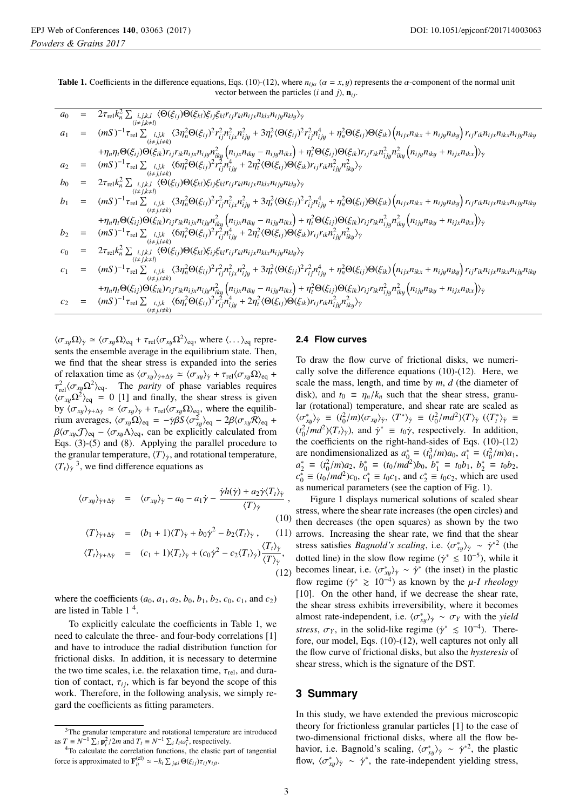Table 1. Coefficients in the difference equations, Eqs. (10)-(12), where  $n_{ij\alpha}$  ( $\alpha = x, y$ ) represents the  $\alpha$ -component of the normal unit vector between the particles (*i* and *j*),  $\mathbf{n}_{ij}$ .

$$
a_0 = 2\tau_{rel}k_n^2 \sum_{\substack{i,j,k,l \ (i \neq j,k+1)}} \langle \Theta(\xi_{ij})\Theta(\xi_{kl})\xi_{ij}\xi_{kl}r_{ij}r_{kl}n_{ik}x_{lij}n_{klx}n_{ij}n_{kly}\rangle_{\gamma}
$$
\n
$$
a_1 = (mS)^{-1}\tau_{rel} \sum_{\substack{i,j,k,l \ (i \neq j,k+1)}} \langle 3\eta_n^2 \Theta(\xi_{ij})^2 r_{ij}^2 n_{ijx}^2 n_{ijy}^2 + 3\eta_i^2 \langle \Theta(\xi_{ij})^2 r_{ij}^2 n_{ijy}^4 + \eta_n^2 \Theta(\xi_{ij})\Theta(\xi_{ik}) (n_{ijx}n_{ikx} + n_{ijy}n_{iky})r_{ij}r_{ik}n_{ijx}n_{ikx}n_{ijy}n_{iky}
$$
\n
$$
+ \eta_n \eta_l \Theta(\xi_{ij})\Theta(\xi_{ik})r_{ij}r_{ik}n_{ijx}n_{iky}n_{ijx}n_{iky}^2 (n_{ijx}n_{iky} - n_{ijy}n_{ikx}) + \eta_i^2 \Theta(\xi_{ij})\Theta(\xi_{ik})r_{ij}r_{ik}n_{ijy}^2 n_{iky}^2 (n_{ijy}n_{iky} + n_{ijx}n_{ikx})\rangle_{\gamma}
$$
\n
$$
a_2 = (mS)^{-1}\tau_{rel} \sum_{\substack{i,j,k,l \ (i \neq j,k+1)}} \langle \Theta(\xi_{ij})\Theta(\xi_{ki})\xi_{ij}\xi_{kl}r_{ij}r_{kl}n_{ijx}n_{klx}n_{ijy}n_{kly}\rangle_{\gamma}
$$
\n
$$
b_1 = (mS)^{-1}\tau_{rel} \sum_{\substack{i,j,k,l \ (i \neq j,k+1)}} \langle 3\eta_n^2 \Theta(\xi_{ij})^2 r_{ij}^2 n_{ijx}^2 n_{ijy}^2 + 3\eta_i^2 \langle \Theta(\xi_{ij})^2 r_{ij}^2 n_{ijy}^4 + \eta_n^2 \Theta(\xi_{ij})\Theta(\xi_{ik}) (n_{ijx}n_{ikx} + n_{ijy}n_{iky}) r_{ij}r_{ik}n_{ijx}n_{ikx}n_{ijy}n_{iky}
$$
\n
$$
b_1 = (mS)^{-1}\tau_{rel} \sum_{\substack{i,j,k \ (i \ne
$$

 $\langle \sigma_{xy} \Omega \rangle_{\dot{\gamma}} \simeq \langle \sigma_{xy} \Omega \rangle_{\text{eq}} + \tau_{\text{rel}} \langle \sigma_{xy} \Omega^2 \rangle_{\text{eq}}$ , where  $\langle \dots \rangle_{\text{eq}}$  represents the ensemble average in the equilibrium state. Then, we find that the shear stress is expanded into the series of relaxation time as  $\langle \sigma_{xy} \rangle_{\dot{\gamma} + \Delta \dot{\gamma}} \simeq \langle \sigma_{xy} \rangle_{\dot{\gamma}} + \tau_{rel} \langle \sigma_{xy} \Omega \rangle_{eq}$  +  $\tau_{rel}^2 \langle \sigma_{xy} \Omega^2 \rangle_{eq}$ . The *parity* of phase variables requires  $\langle \sigma_{xy} \Omega^2 \rangle_{\text{eq}} = 0$  [1] and finally, the shear stress is given by  $\langle \sigma_{xy} \rangle_{\gamma + \Delta \gamma} \simeq \langle \sigma_{xy} \rangle_{\gamma} + \tau_{rel} \langle \sigma_{xy} \Omega \rangle_{\text{eq}}$ , where the equilibrium averages,  $\langle \sigma_{xy} \Omega \rangle_{\text{eq}} = -\dot{\gamma} \beta S \langle \sigma_{xy}^2 \rangle_{\text{eq}} - 2\beta \langle \sigma_{xy} \mathcal{R} \rangle_{\text{eq}} +$  $\beta \langle \sigma_{xy} \mathcal{J} \rangle_{\text{eq}} - \langle \sigma_{xy} \Lambda \rangle_{\text{eq}}$ , can be explicitly calculated from Eqs. (3)-(5) and (8). Applying the parallel procedure to the granular temperature,  $\langle T \rangle_{\dot{\gamma}}$ , and rotational temperature,  $\langle T_t \rangle_{\dot{y}}$ <sup>3</sup>, we find difference equations as

$$
\langle \sigma_{xy} \rangle_{\dot{\gamma} + \Delta \dot{\gamma}} = \langle \sigma_{xy} \rangle_{\dot{\gamma}} - a_0 - a_1 \dot{\gamma} - \frac{\dot{\gamma} h(\dot{\gamma}) + a_2 \dot{\gamma} \langle T_t \rangle_{\dot{\gamma}}}{\langle T \rangle_{\dot{\gamma}}},
$$
\n(10)

$$
\langle T \rangle_{\dot{\gamma} + \Delta \dot{\gamma}} = (b_1 + 1) \langle T \rangle_{\dot{\gamma}} + b_0 \dot{\gamma}^2 - b_2 \langle T_t \rangle_{\dot{\gamma}}, \qquad (11)
$$

$$
\langle T_t \rangle_{\dot{\gamma} + \Delta \dot{\gamma}} = (c_1 + 1) \langle T_t \rangle_{\dot{\gamma}} + (c_0 \dot{\gamma}^2 - c_2 \langle T_t \rangle_{\dot{\gamma}}) \frac{\langle T_t \rangle_{\dot{\gamma}}}{\langle T \rangle_{\dot{\gamma}}},
$$
\n(12)

where the coefficients  $(a_0, a_1, a_2, b_0, b_1, b_2, c_0, c_1,$  and  $c_2)$ are listed in Table 1 4.

To explicitly calculate the coefficients in Table 1, we need to calculate the three- and four-body correlations [1] and have to introduce the radial distribution function for frictional disks. In addition, it is necessary to determine the two time scales, i.e. the relaxation time,  $\tau_{rel}$ , and duration of contact,  $\tau_{ij}$ , which is far beyond the scope of this work. Therefore, in the following analysis, we simply regard the coefficients as fitting parameters.

#### **2.4 Flow curves**

To draw the flow curve of frictional disks, we numerically solve the difference equations (10)-(12). Here, we scale the mass, length, and time by *m*, *d* (the diameter of disk), and  $t_0 \equiv \eta_n/k_n$  such that the shear stress, granular (rotational) temperature, and shear rate are scaled as  $\langle \sigma_{xy}^* \rangle_{\dot{\gamma}} \equiv (t_0^2/m) \langle \sigma_{xy} \rangle_{\dot{\gamma}}, \langle T^* \rangle_{\dot{\gamma}} \equiv (t_0^2/m d^2) \langle T \rangle_{\dot{\gamma}} \langle \langle T_t^* \rangle_{\dot{\gamma}} \equiv$  $(t_0^2/md^2)(T_t)_{\dot{\gamma}}$ , and  $\dot{\gamma}^* \equiv t_0 \dot{\gamma}$ , respectively. In addition, the coefficients on the right-hand-sides of Eqs. (10)-(12) are nondimensionalized as  $a_0^* \equiv (t_0^3/m)a_0, a_1^* \equiv (t_0^2/m)a_1$ ,  $a_2^* \equiv (t_0^2/m)a_2, b_0^* \equiv (t_0/m\tilde{d}^2)b_0, b_1^* \equiv t_0b_1, b_2^* \equiv t_0b_2,$  $c_0^* \equiv (t_0/md^2)c_0$ ,  $c_1^* \equiv t_0c_1$ , and  $c_2^* \equiv t_0c_2$ , which are used as numerical parameters (see the caption of Fig. 1).

Figure 1 displays numerical solutions of scaled shear stress, where the shear rate increases (the open circles) and then decreases (the open squares) as shown by the two 1) arrows. Increasing the shear rate, we find that the shear stress satisfies *Bagnold's scaling*, i.e.  $\langle \sigma_{xy}^* \rangle_{\dot{\gamma}} \sim \dot{\gamma}^{*2}$  (the dotted line) in the slow flow regime ( $\dot{\gamma}$  ≤ 10<sup>-5</sup>), while it becomes linear, i.e.  $\langle \sigma_{xy}^* \rangle_{\dot{\gamma}} \sim \dot{\gamma}^*$  (the inset) in the plastic flow regime ( $\dot{y}$ <sup>\*</sup>  $\geq 10^{-4}$ ) as known by the *μ-I rheology* [10]. On the other hand, if we decrease the shear rate, the shear stress exhibits irreversibility, where it becomes almost rate-independent, i.e.  $\langle \sigma_{xy}^* \rangle_{\dot{\gamma}} \sim \sigma_Y$  with the *yield stress*,  $\sigma_Y$ , in the solid-like regime ( $\dot{\gamma}^* \leq 10^{-4}$ ). Therefore, our model, Eqs. (10)-(12), well captures not only all the flow curve of frictional disks, but also the *hysteresis* of shear stress, which is the signature of the DST.

## **3 Summary**

In this study, we have extended the previous microscopic theory for frictionless granular particles [1] to the case of two-dimensional frictional disks, where all the flow behavior, i.e. Bagnold's scaling,  $\langle \sigma_{xy}^* \rangle_{\dot{\gamma}} \sim \dot{\gamma}^{*2}$ , the plastic flow,  $\langle \sigma_{xy}^* \rangle_{\dot{\gamma}} \sim \dot{\gamma}^*$ , the rate-independent yielding stress,

<sup>&</sup>lt;sup>3</sup>The granular temperature and rotational temperature are introduced as  $T \equiv N^{-1} \sum_{i} p_i^2 / 2m$  and  $T_t \equiv N^{-1} \sum_{i} I_i \omega_i^2$ <br><sup>4</sup>To calculate the correlation functions

<sup>&</sup>lt;sup>4</sup>To calculate the correlation functions, the elastic part of tangential force is approximated to  $\mathbf{F}_{it}^{(el)} \simeq -k_t \sum_{j \neq i} \Theta(\xi_{ij}) \tau_{ij} \mathbf{v}_{ijt}$ .